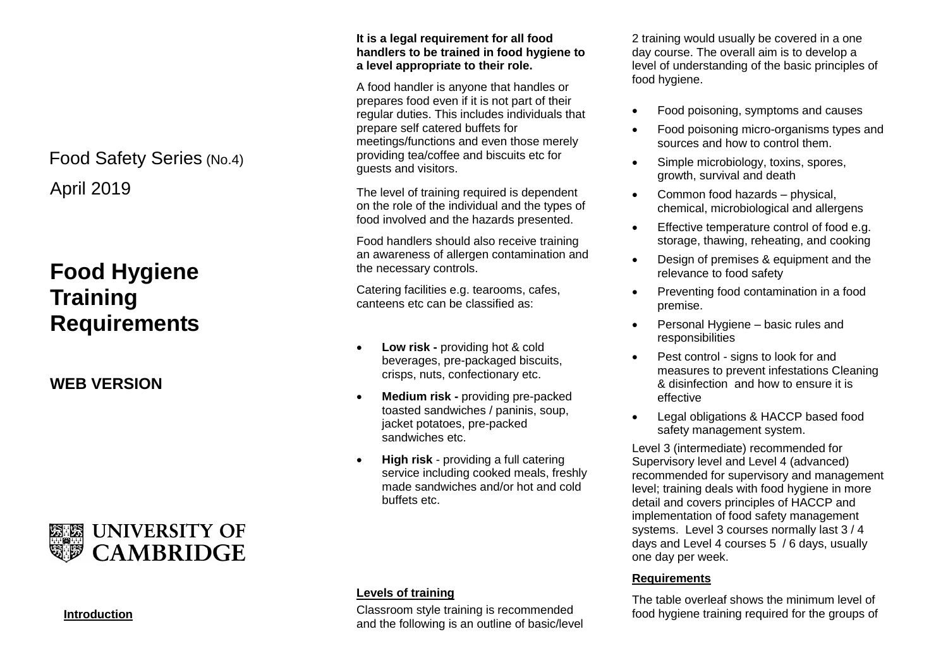## April 2019 Food Safety Series (No.4)

# **Food Hygiene Training Requirements**

**WEB VERSION**

## **WEB UNIVERSITY OF CAMBRIDGE**

#### **Introduction**

#### **It is a legal requirement for all food handlers to be trained in food hygiene to a level appropriate to their role.**

A food handler is anyone that handles or prepares food even if it is not part of their regular duties. This includes individuals that prepare self catered buffets for meetings/functions and even those merely providing tea/coffee and biscuits etc for guests and visitors.

The level of training required is dependent on the role of the individual and the types of food involved and the hazards presented.

Food handlers should also receive training an awareness of allergen contamination and the necessary controls.

Catering facilities e.g. tearooms, cafes, canteens etc can be classified as:

- **Low risk -** providing hot & cold beverages, pre-packaged biscuits, crisps, nuts, confectionary etc.
- **Medium risk -** providing pre-packed toasted sandwiches / paninis, soup, jacket potatoes, pre-packed sandwiches etc.
- **High risk** providing a full catering service including cooked meals, freshly made sandwiches and/or hot and cold buffets etc.

#### **Levels of training**

Classroom style training is recommended and the following is an outline of basic/level 2 training would usually be covered in a one day course. The overall aim is to develop a level of understanding of the basic principles of food hygiene.

- Food poisoning, symptoms and causes
- Food poisoning micro-organisms types and sources and how to control them.
- Simple microbiology, toxins, spores, growth, survival and death
- Common food hazards physical. chemical, microbiological and allergens
- **Effective temperature control of food e.g.** storage, thawing, reheating, and cooking
- Design of premises & equipment and the relevance to food safety
- Preventing food contamination in a food premise.
- Personal Hygiene basic rules and responsibilities
- Pest control signs to look for and measures to prevent infestations Cleaning & disinfection and how to ensure it is effective
- Legal obligations & HACCP based food safety management system.

Level 3 (intermediate) recommended for Supervisory level and Level 4 (advanced) recommended for supervisory and management level; training deals with food hygiene in more detail and covers principles of HACCP and implementation of food safety management systems. Level 3 courses normally last 3 / 4 days and Level 4 courses 5 / 6 days, usually one day per week.

#### **Requirements**

The table overleaf shows the minimum level of food hygiene training required for the groups of